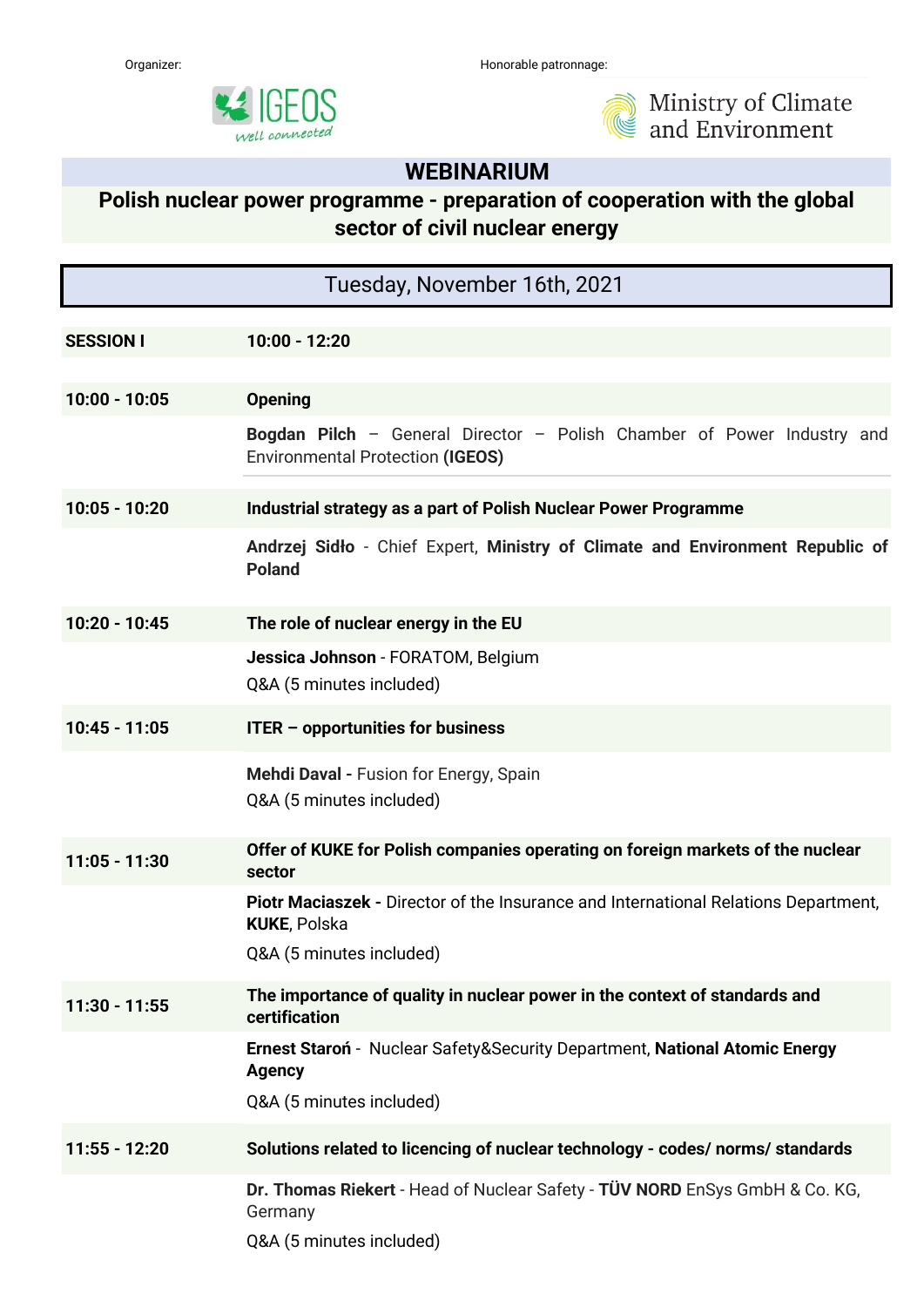



Ministry of Climate<br>and Environment

## **WEBINARIUM**

## **Polish nuclear power programme - preparation of cooperation with the global sector of civil nuclear energy**

| Tuesday, November 16th, 2021 |                                                                                                                                        |
|------------------------------|----------------------------------------------------------------------------------------------------------------------------------------|
| <b>SESSION I</b>             | 10:00 - 12:20                                                                                                                          |
| $10:00 - 10:05$              | <b>Opening</b>                                                                                                                         |
|                              | Bogdan Pilch - General Director - Polish Chamber of Power Industry and<br><b>Environmental Protection (IGEOS)</b>                      |
| $10:05 - 10:20$              | Industrial strategy as a part of Polish Nuclear Power Programme                                                                        |
|                              | Andrzej Sidło - Chief Expert, Ministry of Climate and Environment Republic of<br><b>Poland</b>                                         |
| $10:20 - 10:45$              | The role of nuclear energy in the EU                                                                                                   |
|                              | Jessica Johnson - FORATOM, Belgium<br>Q&A (5 minutes included)                                                                         |
| $10:45 - 11:05$              | ITER - opportunities for business                                                                                                      |
|                              | Mehdi Daval - Fusion for Energy, Spain<br>Q&A (5 minutes included)                                                                     |
| $11:05 - 11:30$              | Offer of KUKE for Polish companies operating on foreign markets of the nuclear<br>sector                                               |
|                              | Piotr Maciaszek - Director of the Insurance and International Relations Department,<br><b>KUKE, Polska</b><br>Q&A (5 minutes included) |
| $11:30 - 11:55$              | The importance of quality in nuclear power in the context of standards and<br>certification                                            |
|                              | Ernest Staron - Nuclear Safety&Security Department, National Atomic Energy<br><b>Agency</b><br>Q&A (5 minutes included)                |
| 11:55 - 12:20                | Solutions related to licencing of nuclear technology - codes/ norms/ standards                                                         |
|                              | Dr. Thomas Riekert - Head of Nuclear Safety - TÜV NORD EnSys GmbH & Co. KG,<br>Germany<br>Q&A (5 minutes included)                     |